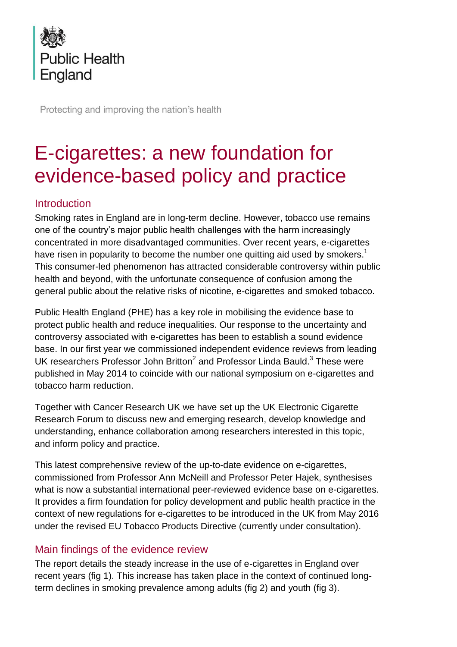

Protecting and improving the nation's health

# E-cigarettes: a new foundation for evidence-based policy and practice

# Introduction

Smoking rates in England are in long-term decline. However, tobacco use remains one of the country's major public health challenges with the harm increasingly concentrated in more disadvantaged communities. Over recent years, e-cigarettes have risen in popularity to become the number one quitting aid used by smokers.<sup>1</sup> This consumer-led phenomenon has attracted considerable controversy within public health and beyond, with the unfortunate consequence of confusion among the general public about the relative risks of nicotine, e-cigarettes and smoked tobacco.

Public Health England (PHE) has a key role in mobilising the evidence base to protect public health and reduce inequalities. Our response to the uncertainty and controversy associated with e-cigarettes has been to establish a sound evidence base. In our first year we commissioned independent evidence reviews from leading UK researchers Professor John Britton<sup>2</sup> and Professor Linda Bauld.<sup>3</sup> These were published in May 2014 to coincide with our national symposium on e-cigarettes and tobacco harm reduction.

Together with Cancer Research UK we have set up the UK Electronic Cigarette Research Forum to discuss new and emerging research, develop knowledge and understanding, enhance collaboration among researchers interested in this topic, and inform policy and practice.

This latest comprehensive review of the up-to-date evidence on e-cigarettes, commissioned from Professor Ann McNeill and Professor Peter Hajek, synthesises what is now a substantial international peer-reviewed evidence base on e-cigarettes. It provides a firm foundation for policy development and public health practice in the context of new regulations for e-cigarettes to be introduced in the UK from May 2016 under the revised EU Tobacco Products Directive (currently under consultation).

## Main findings of the evidence review

The report details the steady increase in the use of e-cigarettes in England over recent years (fig 1). This increase has taken place in the context of continued longterm declines in smoking prevalence among adults (fig 2) and youth (fig 3).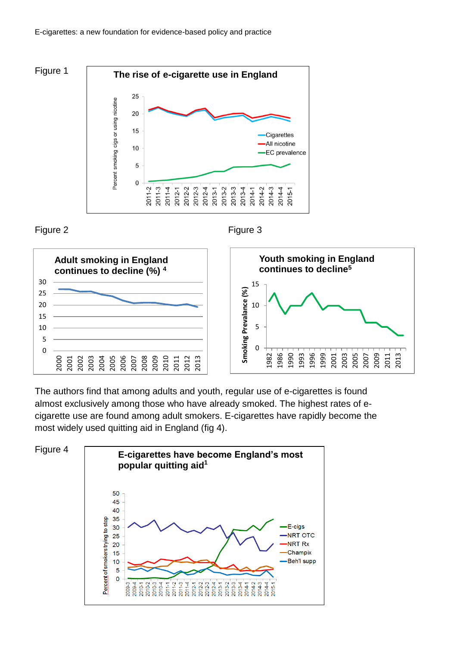E-cigarettes: a new foundation for evidence-based policy and practice





#### Figure 2 **Figure 3**



The authors find that among adults and youth, regular use of e-cigarettes is found almost exclusively among those who have already smoked. The highest rates of ecigarette use are found among adult smokers. E-cigarettes have rapidly become the most widely used quitting aid in England (fig 4).



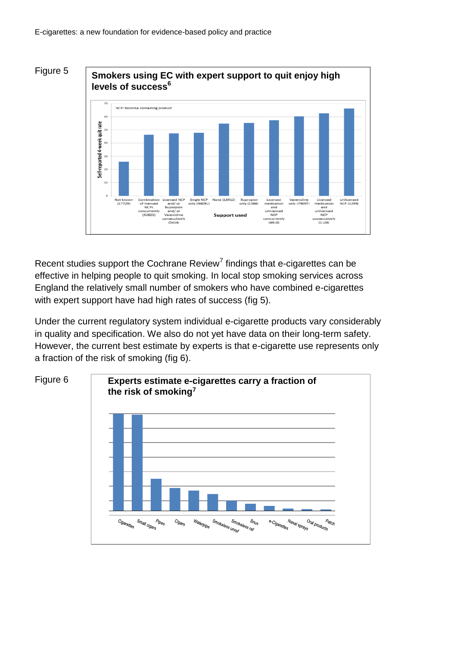

**Smokers using EC with expert support to quit enjoy high levels of success<sup>6</sup>**



Recent studies support the Cochrane Review<sup>7</sup> findings that e-cigarettes can be effective in helping people to quit smoking. In local stop smoking services across England the relatively small number of smokers who have combined e-cigarettes with expert support have had high rates of success (fig 5).

Under the current regulatory system individual e-cigarette products vary considerably in quality and specification. We also do not yet have data on their long-term safety. However, the current best estimate by experts is that e-cigarette use represents only a fraction of the risk of smoking (fig 6).

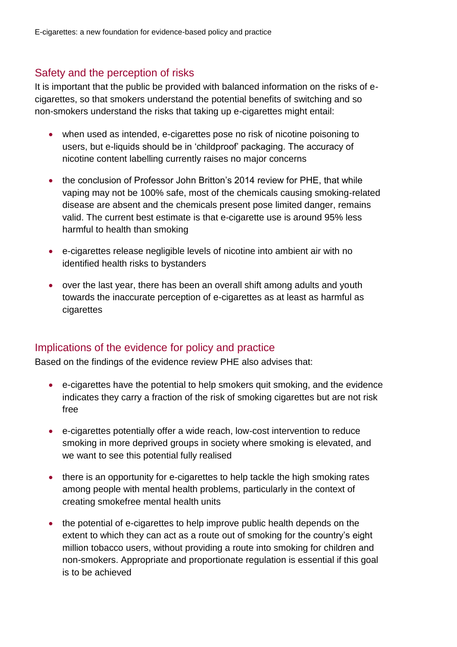# Safety and the perception of risks

It is important that the public be provided with balanced information on the risks of ecigarettes, so that smokers understand the potential benefits of switching and so non-smokers understand the risks that taking up e-cigarettes might entail:

- when used as intended, e-cigarettes pose no risk of nicotine poisoning to users, but e-liquids should be in 'childproof' packaging. The accuracy of nicotine content labelling currently raises no major concerns
- the conclusion of Professor John Britton's 2014 review for PHE, that while vaping may not be 100% safe, most of the chemicals causing smoking-related disease are absent and the chemicals present pose limited danger, remains valid. The current best estimate is that e-cigarette use is around 95% less harmful to health than smoking
- e-cigarettes release negligible levels of nicotine into ambient air with no identified health risks to bystanders
- over the last year, there has been an overall shift among adults and youth towards the inaccurate perception of e-cigarettes as at least as harmful as cigarettes

## Implications of the evidence for policy and practice

Based on the findings of the evidence review PHE also advises that:

- e-cigarettes have the potential to help smokers quit smoking, and the evidence indicates they carry a fraction of the risk of smoking cigarettes but are not risk free
- e-cigarettes potentially offer a wide reach, low-cost intervention to reduce smoking in more deprived groups in society where smoking is elevated, and we want to see this potential fully realised
- there is an opportunity for e-cigarettes to help tackle the high smoking rates among people with mental health problems, particularly in the context of creating smokefree mental health units
- the potential of e-cigarettes to help improve public health depends on the extent to which they can act as a route out of smoking for the country's eight million tobacco users, without providing a route into smoking for children and non-smokers. Appropriate and proportionate regulation is essential if this goal is to be achieved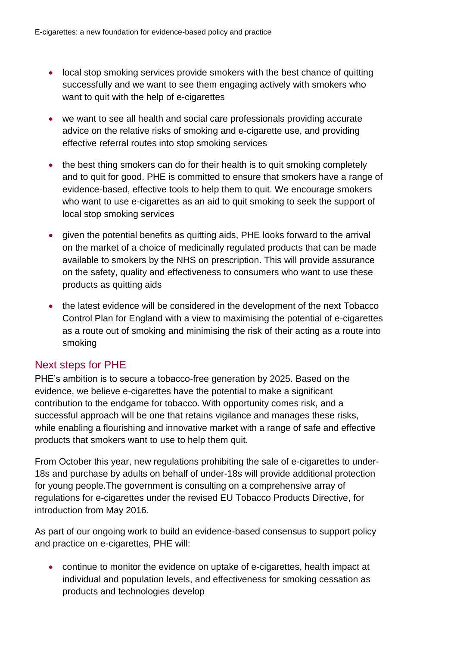- local stop smoking services provide smokers with the best chance of quitting successfully and we want to see them engaging actively with smokers who want to quit with the help of e-cigarettes
- we want to see all health and social care professionals providing accurate advice on the relative risks of smoking and e-cigarette use, and providing effective referral routes into stop smoking services
- the best thing smokers can do for their health is to quit smoking completely and to quit for good. PHE is committed to ensure that smokers have a range of evidence-based, effective tools to help them to quit. We encourage smokers who want to use e-cigarettes as an aid to quit smoking to seek the support of local stop smoking services
- given the potential benefits as quitting aids, PHE looks forward to the arrival on the market of a choice of medicinally regulated products that can be made available to smokers by the NHS on prescription. This will provide assurance on the safety, quality and effectiveness to consumers who want to use these products as quitting aids
- the latest evidence will be considered in the development of the next Tobacco Control Plan for England with a view to maximising the potential of e-cigarettes as a route out of smoking and minimising the risk of their acting as a route into smoking

## Next steps for PHE

PHE's ambition is to secure a tobacco-free generation by 2025. Based on the evidence, we believe e-cigarettes have the potential to make a significant contribution to the endgame for tobacco. With opportunity comes risk, and a successful approach will be one that retains vigilance and manages these risks, while enabling a flourishing and innovative market with a range of safe and effective products that smokers want to use to help them quit.

From October this year, new regulations prohibiting the sale of e-cigarettes to under-18s and purchase by adults on behalf of under-18s will provide additional protection for young people.The government is consulting on a comprehensive array of regulations for e-cigarettes under the revised EU Tobacco Products Directive, for introduction from May 2016.

As part of our ongoing work to build an evidence-based consensus to support policy and practice on e-cigarettes, PHE will:

 continue to monitor the evidence on uptake of e-cigarettes, health impact at individual and population levels, and effectiveness for smoking cessation as products and technologies develop